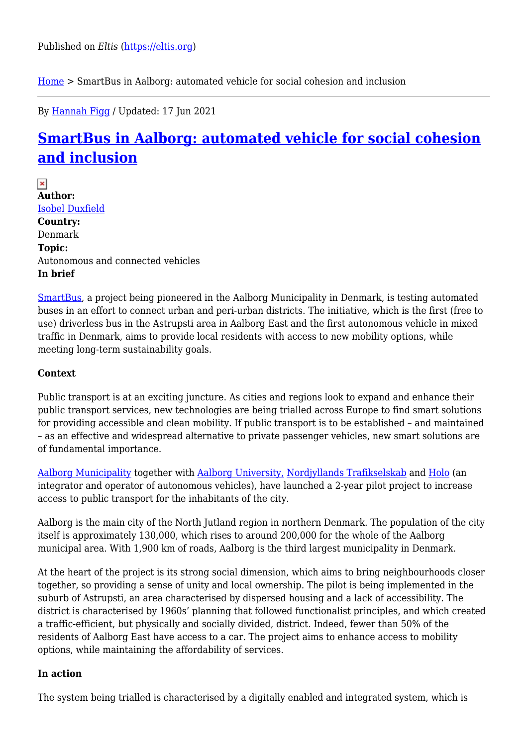[Home](https://eltis.org/) > SmartBus in Aalborg: automated vehicle for social cohesion and inclusion

By [Hannah Figg](https://eltis.org/users/hannah-figg) / Updated: 17 Jun 2021

# **[SmartBus in Aalborg: automated vehicle for social cohesion](https://eltis.org/resources/case-studies/smartbus-aalborg-automated-vehicle-social-cohesion-and-inclusion) [and inclusion](https://eltis.org/resources/case-studies/smartbus-aalborg-automated-vehicle-social-cohesion-and-inclusion)**

 $\pmb{\times}$ **Author:**  [Isobel Duxfield](https://eltis.org/users/isobel-duxfield) **Country:**  Denmark **Topic:**  Autonomous and connected vehicles **In brief** 

[SmartBus,](http://www.e-pages.dk/aalborgkommune/1376/) a project being pioneered in the Aalborg Municipality in Denmark, is testing automated buses in an effort to connect urban and peri-urban districts. The initiative, which is the first (free to use) driverless bus in the Astrupsti area in Aalborg East and the first autonomous vehicle in mixed traffic in Denmark, aims to provide local residents with access to new mobility options, while meeting long-term sustainability goals.

#### **Context**

Public transport is at an exciting juncture. As cities and regions look to expand and enhance their public transport services, new technologies are being trialled across Europe to find smart solutions for providing accessible and clean mobility. If public transport is to be established – and maintained – as an effective and widespread alternative to private passenger vehicles, new smart solutions are of fundamental importance.

[Aalborg Municipality](https://www.aalborg.dk/english) together with [Aalborg University,](https://www.en.cph.aau.dk/) [Nordjyllands Trafikselskab](https://www.nordjyllandstrafikselskab.dk/) and [Holo](https://www.letsholo.com/) (an integrator and operator of autonomous vehicles), have launched a 2-year pilot project to increase access to public transport for the inhabitants of the city.

Aalborg is the main city of the North Jutland region in northern Denmark. The population of the city itself is approximately 130,000, which rises to around 200,000 for the whole of the Aalborg municipal area. With 1,900 km of roads, Aalborg is the third largest municipality in Denmark.

At the heart of the project is its strong social dimension, which aims to bring neighbourhoods closer together, so providing a sense of unity and local ownership. The pilot is being implemented in the suburb of Astrupsti, an area characterised by dispersed housing and a lack of accessibility. The district is characterised by 1960s' planning that followed functionalist principles, and which created a traffic-efficient, but physically and socially divided, district. Indeed, fewer than 50% of the residents of Aalborg East have access to a car. The project aims to enhance access to mobility options, while maintaining the affordability of services.

#### **In action**

The system being trialled is characterised by a digitally enabled and integrated system, which is